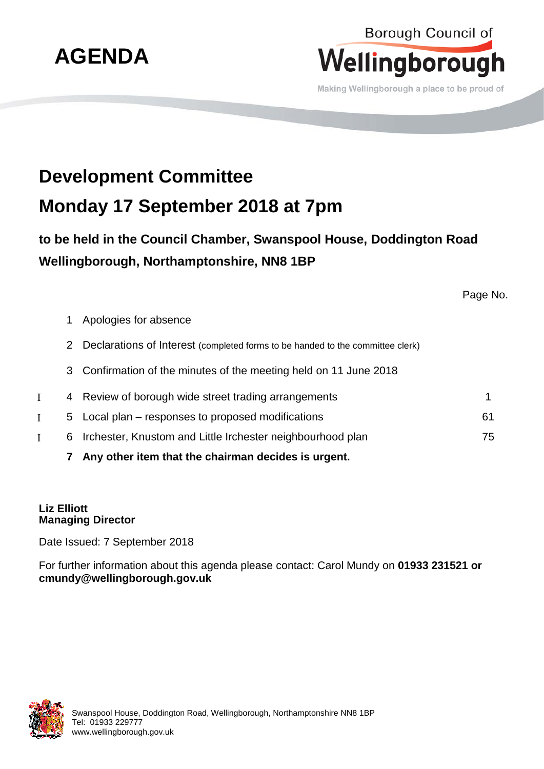

## Borough Council of Wellingborough

Making Wellingborough a place to be proud of

## **Development Committee Monday 17 September 2018 at 7pm**

**to be held in the Council Chamber, Swanspool House, Doddington Road Wellingborough, Northamptonshire, NN8 1BP**

Page No.

- 1 Apologies for absence
- 2 Declarations of Interest (completed forms to be handed to the committee clerk)
- 3 Confirmation of the minutes of the meeting held on 11 June 2018
- Ι 4 Review of borough wide street trading arrangements 1
- Ι 5 Local plan responses to proposed modifications 61
- Ι 6 Irchester, Knustom and Little Irchester neighbourhood plan 75
	- **7 Any other item that the chairman decides is urgent.**

## **Liz Elliott Managing Director**

Date Issued: 7 September 2018

For further information about this agenda please contact: Carol Mundy on **01933 231521 or cmundy@wellingborough.gov.uk**